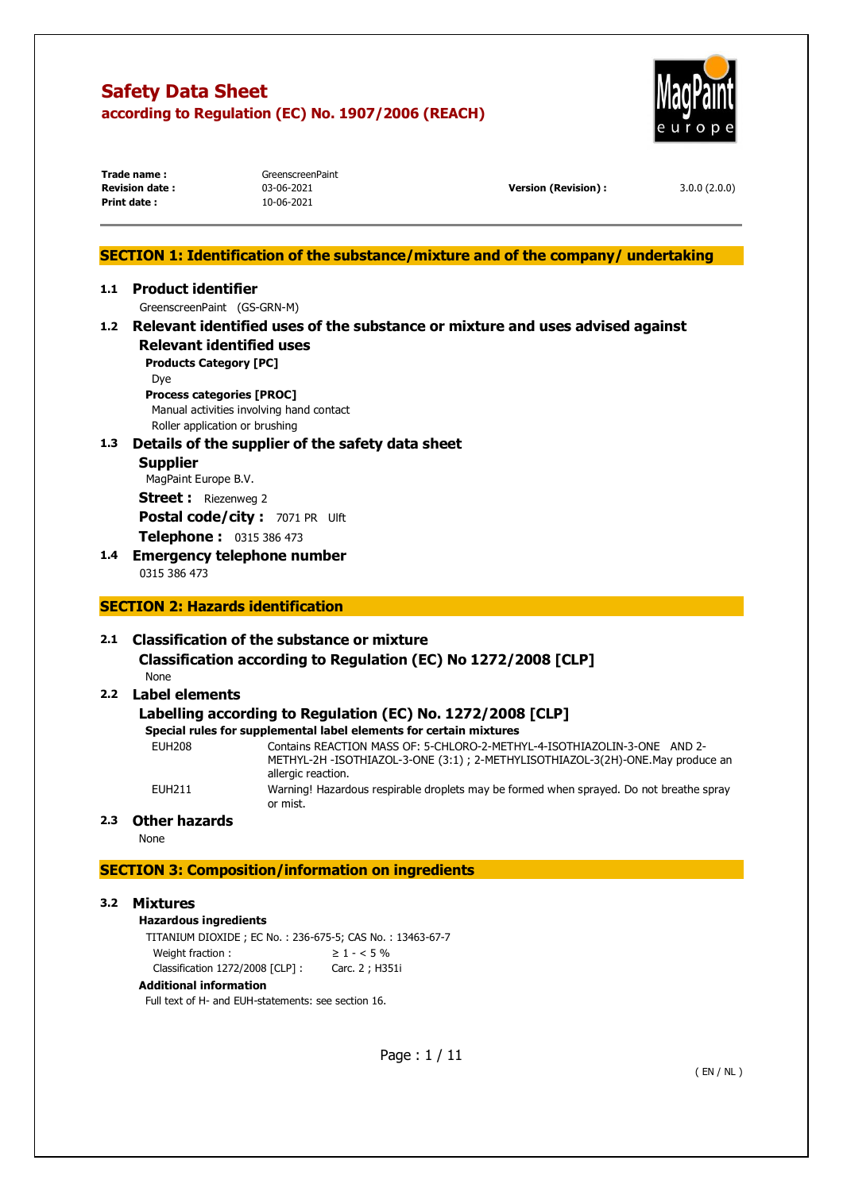

| Trade name:           |
|-----------------------|
| <b>Revision date:</b> |
| Print date:           |

GreenscreenPaint **Print date :** 10-06-2021

**Revision date :** 03-06-2021 **Version (Revision) :** 3.0.0 (2.0.0)

## **SECTION 1: Identification of the substance/mixture and of the company/ undertaking**

## **1.1 Product identifier**  GreenscreenPaint (GS-GRN-M)

**1.2 Relevant identified uses of the substance or mixture and uses advised against Relevant identified uses** 

**Products Category [PC]**  Dye

# **Process categories [PROC]**

Manual activities involving hand contact Roller application or brushing

## **1.3 Details of the supplier of the safety data sheet**

- **Supplier**  MagPaint Europe B.V. **Street :** Riezenweg 2 **Postal code/city : 7071 PR Ulft Telephone :** 0315 386 473
- **1.4 Emergency telephone number**  0315 386 473

## **SECTION 2: Hazards identification**

## **2.1 Classification of the substance or mixture**

#### **Classification according to Regulation (EC) No 1272/2008 [CLP]**  None

## **2.2 Label elements**

## **Labelling according to Regulation (EC) No. 1272/2008 [CLP]**

## **Special rules for supplemental label elements for certain mixtures**

| EUH208 | Contains REACTION MASS OF: 5-CHLORO-2-METHYL-4-ISOTHIAZOLIN-3-ONE AND 2-<br>METHYL-2H-ISOTHIAZOL-3-ONE (3:1) ; 2-METHYLISOTHIAZOL-3(2H)-ONE.May produce an<br>allergic reaction. |
|--------|----------------------------------------------------------------------------------------------------------------------------------------------------------------------------------|
| EUH211 | Warning! Hazardous respirable droplets may be formed when sprayed. Do not breathe spray<br>or mist.                                                                              |

## **2.3 Other hazards**

None

## **SECTION 3: Composition/information on ingredients**

## **3.2 Mixtures**

## **Hazardous ingredients**

TITANIUM DIOXIDE ; EC No. : 236-675-5; CAS No. : 13463-67-7 Weight fraction :  $\geq 1 - 5\%$ Classification 1272/2008 [CLP] : Carc. 2 ; H351i

#### **Additional information**

Full text of H- and EUH-statements: see section 16.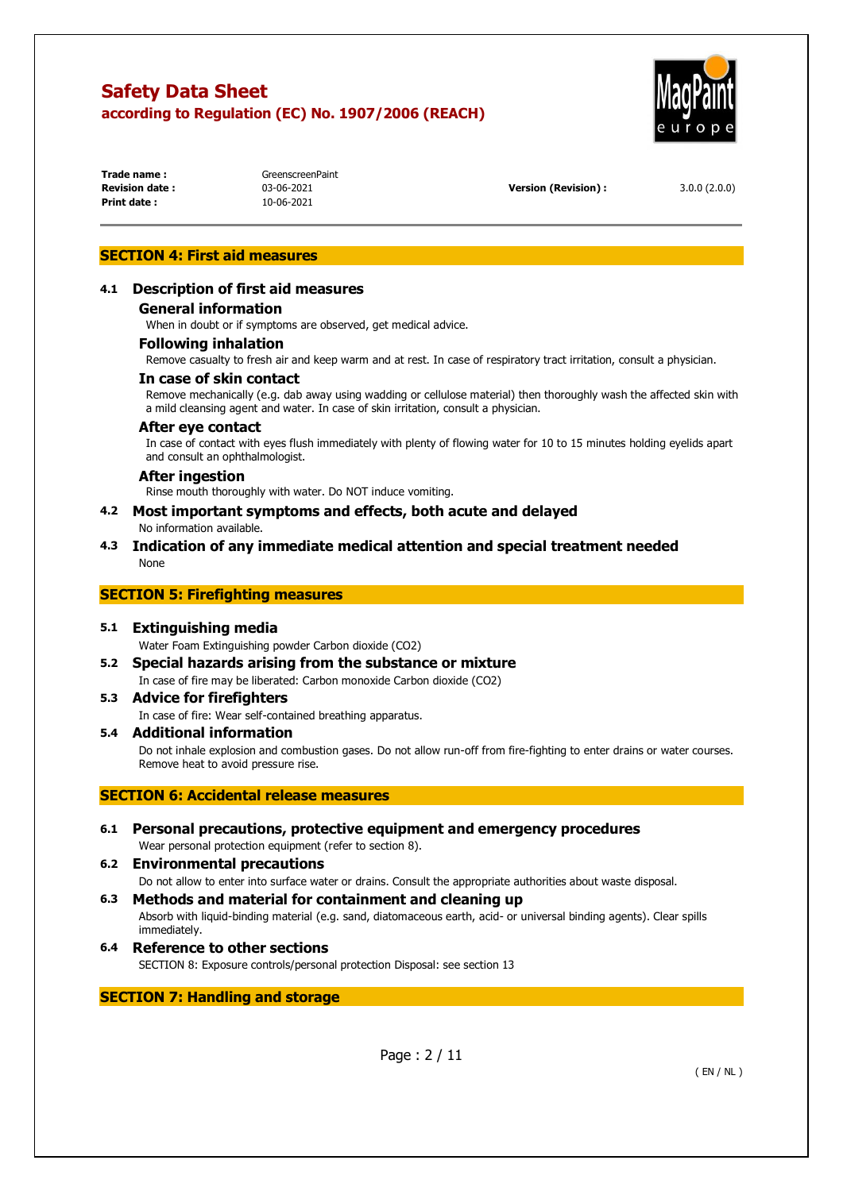

**Print date :** 10-06-2021

**Trade name:** GreenscreenPaint

**Revision date :** 03-06-2021 **Version (Revision) :** 3.0.0 (2.0.0)

## **SECTION 4: First aid measures**

#### **4.1 Description of first aid measures**

#### **General information**

When in doubt or if symptoms are observed, get medical advice.

#### **Following inhalation**

Remove casualty to fresh air and keep warm and at rest. In case of respiratory tract irritation, consult a physician.

#### **In case of skin contact**

Remove mechanically (e.g. dab away using wadding or cellulose material) then thoroughly wash the affected skin with a mild cleansing agent and water. In case of skin irritation, consult a physician.

#### **After eye contact**

In case of contact with eyes flush immediately with plenty of flowing water for 10 to 15 minutes holding eyelids apart and consult an ophthalmologist.

#### **After ingestion**

Rinse mouth thoroughly with water. Do NOT induce vomiting.

#### **4.2 Most important symptoms and effects, both acute and delayed**  No information available.

## **4.3 Indication of any immediate medical attention and special treatment needed**  None

#### **SECTION 5: Firefighting measures**

#### **5.1 Extinguishing media**

Water Foam Extinguishing powder Carbon dioxide (CO2)

- **5.2 Special hazards arising from the substance or mixture** 
	- In case of fire may be liberated: Carbon monoxide Carbon dioxide (CO2)

## **5.3 Advice for firefighters**

In case of fire: Wear self-contained breathing apparatus.

#### **5.4 Additional information**

Do not inhale explosion and combustion gases. Do not allow run-off from fire-fighting to enter drains or water courses. Remove heat to avoid pressure rise.

## **SECTION 6: Accidental release measures**

#### **6.1 Personal precautions, protective equipment and emergency procedures**  Wear personal protection equipment (refer to section 8).

#### **6.2 Environmental precautions**

Do not allow to enter into surface water or drains. Consult the appropriate authorities about waste disposal.

- **6.3 Methods and material for containment and cleaning up**  Absorb with liquid-binding material (e.g. sand, diatomaceous earth, acid- or universal binding agents). Clear spills immediately.
- **6.4 Reference to other sections**  SECTION 8: Exposure controls/personal protection Disposal: see section 13

## **SECTION 7: Handling and storage**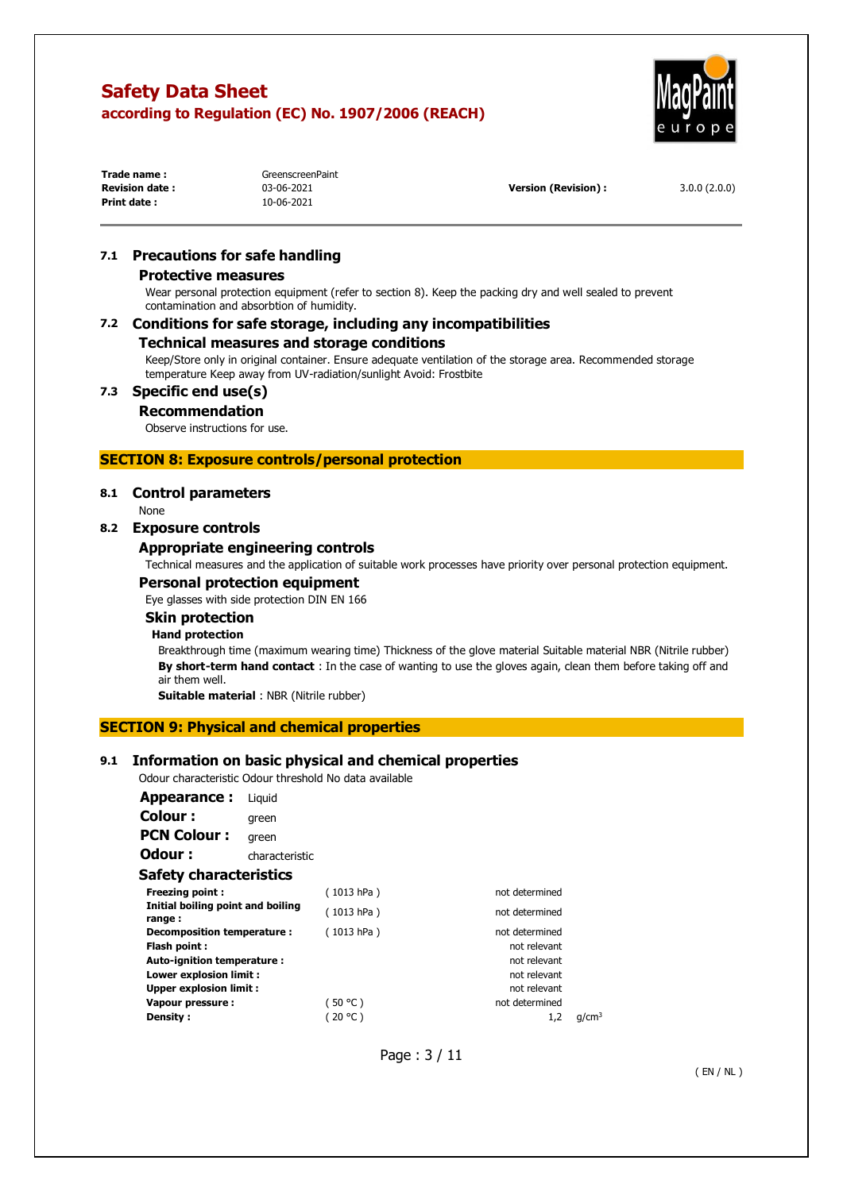

| Trade name:           | GreenscreenPaint |                     |              |
|-----------------------|------------------|---------------------|--------------|
| <b>Revision date:</b> | 03-06-2021       | Version (Revision): | 3.0.0(2.0.0) |
| Print date:           | 10-06-2021       |                     |              |

## **7.1 Precautions for safe handling**

#### **Protective measures**

Wear personal protection equipment (refer to section 8). Keep the packing dry and well sealed to prevent contamination and absorbtion of humidity.

## **7.2 Conditions for safe storage, including any incompatibilities**

#### **Technical measures and storage conditions**

Keep/Store only in original container. Ensure adequate ventilation of the storage area. Recommended storage temperature Keep away from UV-radiation/sunlight Avoid: Frostbite

## **7.3 Specific end use(s)**

#### **Recommendation**

Observe instructions for use.

## **SECTION 8: Exposure controls/personal protection**

#### **8.1 Control parameters**

None

#### **8.2 Exposure controls**

#### **Appropriate engineering controls**

Technical measures and the application of suitable work processes have priority over personal protection equipment.

#### **Personal protection equipment**

Eye glasses with side protection DIN EN 166

## **Skin protection**

## **Hand protection**

Breakthrough time (maximum wearing time) Thickness of the glove material Suitable material NBR (Nitrile rubber) **By short-term hand contact** : In the case of wanting to use the gloves again, clean them before taking off and air them well.

**Suitable material** : NBR (Nitrile rubber)

#### **SECTION 9: Physical and chemical properties**

## **9.1 Information on basic physical and chemical properties**

Odour characteristic Odour threshold No data available

| Appearance:                                 | Liguid         |            |                |
|---------------------------------------------|----------------|------------|----------------|
| <b>Colour:</b>                              | green          |            |                |
| <b>PCN Colour:</b>                          | green          |            |                |
| Odour :                                     | characteristic |            |                |
| Safety characteristics                      |                |            |                |
| <b>Freezing point:</b>                      |                | (1013 hPa) | not determined |
| Initial boiling point and boiling<br>range: |                | (1013 hPa) | not determined |
| Decomposition temperature :                 |                | (1013 hPa) | not determined |
| Flash point:                                |                |            | not relevant   |
| Auto-ignition temperature :                 |                |            | not relevant   |
| Lower explosion limit :                     |                |            | not relevant   |
| <b>Upper explosion limit:</b>               |                |            | not relevant   |
| Vapour pressure:                            |                | (50 °C)    | not determined |

**Density :**  $(20 °C)$   $1.2 \text{ g/cm}^3$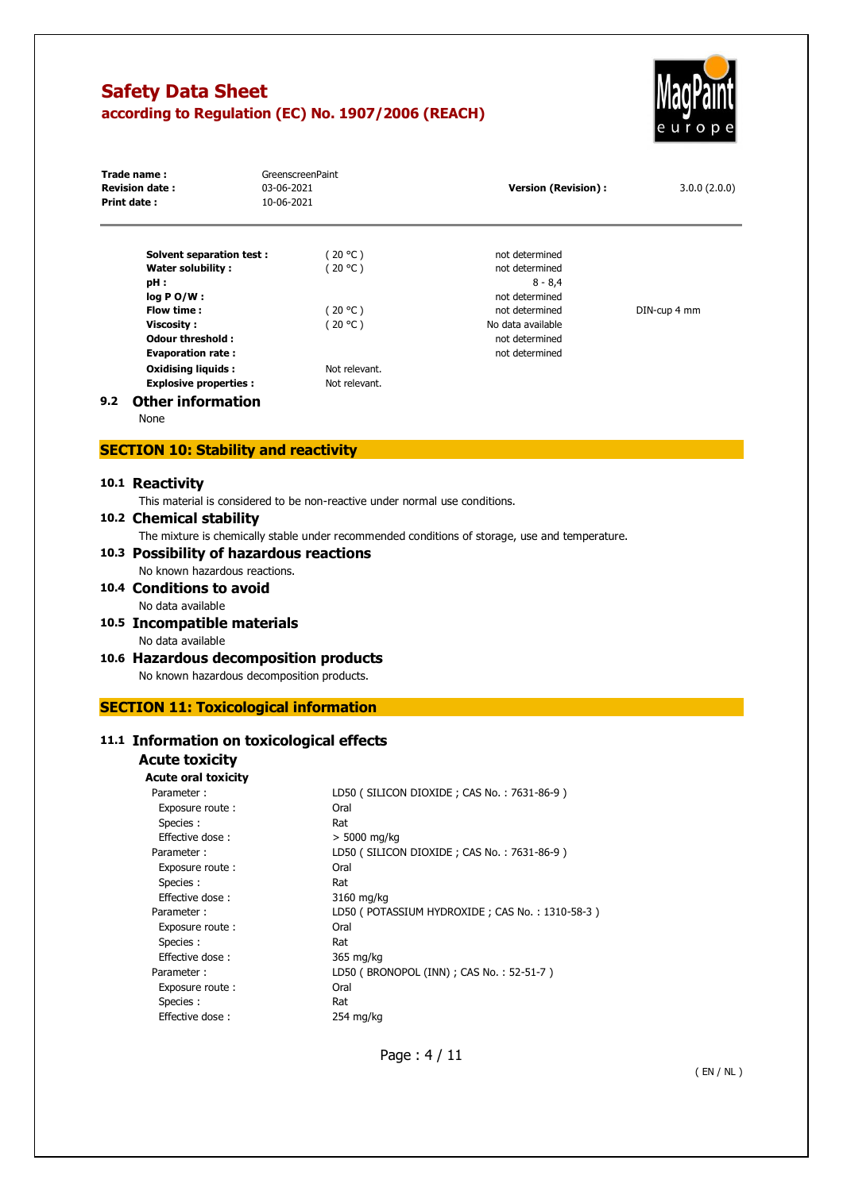

|     | Trade name:<br><b>Revision date:</b><br>Print date:       | GreenscreenPaint<br>03-06-2021<br>10-06-2021 | <b>Version (Revision):</b> | 3.0.0(2.0.0) |
|-----|-----------------------------------------------------------|----------------------------------------------|----------------------------|--------------|
|     | Solvent separation test:                                  | (20 °C )                                     | not determined             |              |
|     | Water solubility:                                         | (20 °C )                                     | not determined             |              |
|     | pH:                                                       |                                              | $8 - 8,4$                  |              |
|     | $log PO/W$ :                                              |                                              | not determined             |              |
|     | Flow time:                                                | (20 °C )                                     | not determined             | DIN-cup 4 mm |
|     | Viscosity:                                                | (20 °C)                                      | No data available          |              |
|     | <b>Odour threshold:</b>                                   |                                              | not determined             |              |
|     | <b>Evaporation rate:</b>                                  |                                              | not determined             |              |
|     | <b>Oxidising liquids:</b><br><b>Explosive properties:</b> | Not relevant.<br>Not relevant.               |                            |              |
| 9.2 | Other information                                         |                                              |                            |              |

#### **9.2 Other information**

None

## **SECTION 10: Stability and reactivity**

#### **10.1 Reactivity**

This material is considered to be non-reactive under normal use conditions.

## **10.2 Chemical stability**

The mixture is chemically stable under recommended conditions of storage, use and temperature.

#### **10.3 Possibility of hazardous reactions**  No known hazardous reactions.

- **10.4 Conditions to avoid**  No data available
- **10.5 Incompatible materials**

# No data available

- **10.6 Hazardous decomposition products**  No known hazardous decomposition products.
- **SECTION 11: Toxicological information**

## **11.1 Information on toxicological effects**

## **Acute toxicity Acute oral toxicity**

| cute oral τοχιcity. |                                                |
|---------------------|------------------------------------------------|
| Parameter:          | LD50 (SILICON DIOXIDE; CAS No.: 7631-86-9)     |
| Exposure route:     | Oral                                           |
| Species :           | Rat                                            |
| Effective dose:     | $> 5000$ mg/kg                                 |
| Parameter:          | LD50 (SILICON DIOXIDE; CAS No.: 7631-86-9)     |
| Exposure route:     | Oral                                           |
| Species :           | Rat                                            |
| Effective dose:     | 3160 mg/kg                                     |
| Parameter:          | LD50 (POTASSIUM HYDROXIDE; CAS No.: 1310-58-3) |
| Exposure route :    | Oral                                           |
| Species :           | Rat                                            |
| Effective dose:     | 365 mg/kg                                      |
| Parameter:          | LD50 (BRONOPOL (INN) ; CAS No.: 52-51-7)       |
| Exposure route:     | Oral                                           |
| Species :           | Rat                                            |
| Effective dose:     | 254 mg/kg                                      |
|                     |                                                |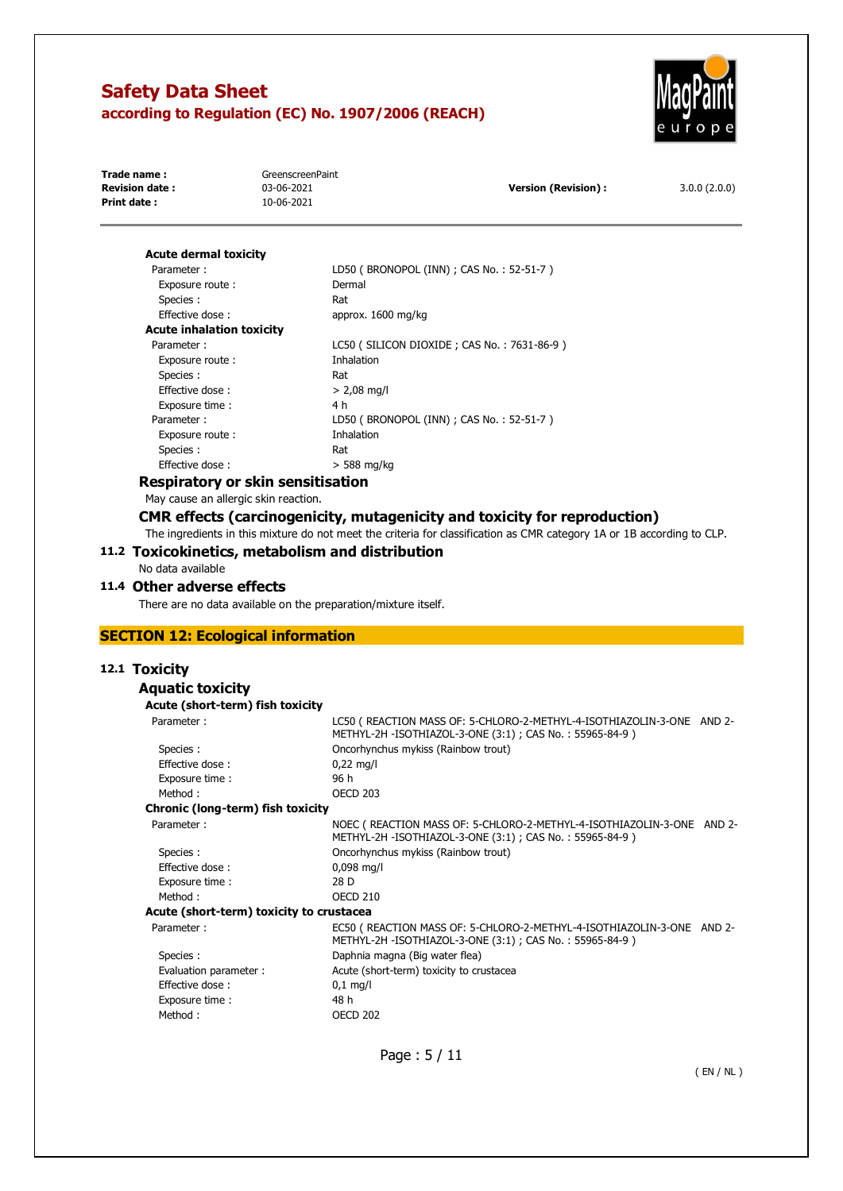

| Trade name:            | GreenscreenPaint |                      |              |
|------------------------|------------------|----------------------|--------------|
| <b>Revision date :</b> | 03-06-2021       | Version (Revision) : | 3.0.0(2.0.0) |
| Print date:            | 10-06-2021       |                      |              |
|                        |                  |                      |              |

#### **Acute dermal toxicity**  Parameter : Exposure route :

| Parameter:                       | LD50 (BRONOPOL (INN) ; CAS No.: 52-51-7)   |
|----------------------------------|--------------------------------------------|
| Exposure route:                  | Dermal                                     |
| Species :                        | Rat                                        |
| <b>Effective dose:</b>           | approx. 1600 mg/kg                         |
| <b>Acute inhalation toxicity</b> |                                            |
| Parameter:                       | LC50 (SILICON DIOXIDE; CAS No.: 7631-86-9) |
| Exposure route:                  | Inhalation                                 |
| Species :                        | Rat                                        |
| Effective dose:                  | $> 2,08$ mg/l                              |
| Exposure time:                   | 4 h                                        |
| Parameter:                       | LD50 (BRONOPOL (INN) ; CAS No.: 52-51-7)   |
| Exposure route:                  | Inhalation                                 |
| Species :                        | Rat                                        |
| Effective dose:                  | $>$ 588 mg/kg                              |
|                                  |                                            |

## **Respiratory or skin sensitisation**

May cause an allergic skin reaction.

## **CMR effects (carcinogenicity, mutagenicity and toxicity for reproduction)**

The ingredients in this mixture do not meet the criteria for classification as CMR category 1A or 1B according to CLP.

#### **11.2 Toxicokinetics, metabolism and distribution**

No data available

#### **11.4 Other adverse effects**

There are no data available on the preparation/mixture itself.

## **SECTION 12: Ecological information**

## **12.1 Toxicity**

#### **Aquatic toxicity**

| Acute (short-term) fish toxicity         |                                                                                                                                   |  |
|------------------------------------------|-----------------------------------------------------------------------------------------------------------------------------------|--|
| Parameter:                               | LC50 (REACTION MASS OF: 5-CHLORO-2-METHYL-4-ISOTHIAZOLIN-3-ONE AND 2-<br>METHYL-2H -ISOTHIAZOL-3-ONE (3:1) ; CAS No.: 55965-84-9) |  |
| Species :                                | Oncorhynchus mykiss (Rainbow trout)                                                                                               |  |
| Effective dose:                          | $0,22 \text{ mg/l}$                                                                                                               |  |
| Exposure time:                           | 96 h                                                                                                                              |  |
| Method:                                  | <b>OECD 203</b>                                                                                                                   |  |
| Chronic (long-term) fish toxicity        |                                                                                                                                   |  |
| Parameter:                               | NOEC (REACTION MASS OF: 5-CHLORO-2-METHYL-4-ISOTHIAZOLIN-3-ONE AND 2-<br>METHYL-2H -ISOTHIAZOL-3-ONE (3:1); CAS No.: 55965-84-9)  |  |
| Species :                                | Oncorhynchus mykiss (Rainbow trout)                                                                                               |  |
| Effective dose:                          | $0,098$ mg/l                                                                                                                      |  |
| Exposure time:                           | 28 D                                                                                                                              |  |
| Method:                                  | <b>OECD 210</b>                                                                                                                   |  |
| Acute (short-term) toxicity to crustacea |                                                                                                                                   |  |
| Parameter:                               | EC50 (REACTION MASS OF: 5-CHLORO-2-METHYL-4-ISOTHIAZOLIN-3-ONE AND 2-<br>METHYL-2H -ISOTHIAZOL-3-ONE (3:1); CAS No.: 55965-84-9)  |  |
| Species :                                | Daphnia magna (Big water flea)                                                                                                    |  |
| Evaluation parameter :                   | Acute (short-term) toxicity to crustacea                                                                                          |  |
| Effective dose:                          | $0.1$ mg/l                                                                                                                        |  |
| Exposure time:                           | 48 h                                                                                                                              |  |
| Method:                                  | <b>OECD 202</b>                                                                                                                   |  |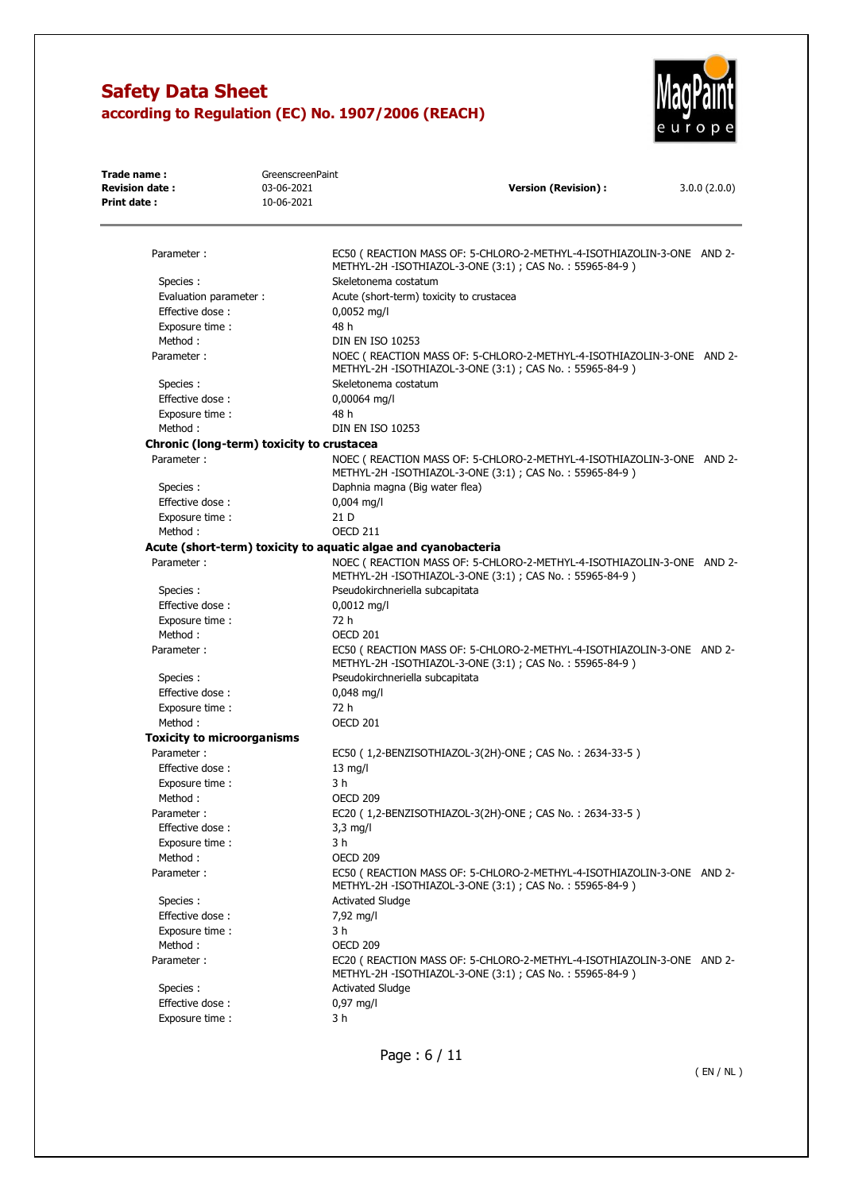

| Trade name:                               | GreenscreenPaint                         |                                                                                                                                  |              |  |
|-------------------------------------------|------------------------------------------|----------------------------------------------------------------------------------------------------------------------------------|--------------|--|
| <b>Revision date:</b>                     | 03-06-2021<br><b>Version (Revision):</b> |                                                                                                                                  | 3.0.0(2.0.0) |  |
| Print date:                               | 10-06-2021                               |                                                                                                                                  |              |  |
| Parameter:                                |                                          | EC50 (REACTION MASS OF: 5-CHLORO-2-METHYL-4-ISOTHIAZOLIN-3-ONE AND 2-                                                            |              |  |
|                                           |                                          | METHYL-2H -ISOTHIAZOL-3-ONE (3:1) ; CAS No.: 55965-84-9)                                                                         |              |  |
| Species:                                  |                                          | Skeletonema costatum                                                                                                             |              |  |
| Evaluation parameter :                    |                                          | Acute (short-term) toxicity to crustacea                                                                                         |              |  |
| Effective dose:                           |                                          | 0,0052 mg/l                                                                                                                      |              |  |
| Exposure time:                            |                                          | 48 h                                                                                                                             |              |  |
| Method:                                   |                                          | <b>DIN EN ISO 10253</b>                                                                                                          |              |  |
| Parameter:                                |                                          | NOEC (REACTION MASS OF: 5-CHLORO-2-METHYL-4-ISOTHIAZOLIN-3-ONE AND 2-<br>METHYL-2H -ISOTHIAZOL-3-ONE (3:1); CAS No.: 55965-84-9) |              |  |
| Species:                                  |                                          | Skeletonema costatum                                                                                                             |              |  |
| Effective dose:                           |                                          | 0,00064 mg/l                                                                                                                     |              |  |
| Exposure time :                           |                                          | 48 h                                                                                                                             |              |  |
| Method:                                   |                                          | <b>DIN EN ISO 10253</b>                                                                                                          |              |  |
| Chronic (long-term) toxicity to crustacea |                                          |                                                                                                                                  |              |  |
| Parameter:                                |                                          | NOEC (REACTION MASS OF: 5-CHLORO-2-METHYL-4-ISOTHIAZOLIN-3-ONE AND 2-<br>METHYL-2H -ISOTHIAZOL-3-ONE (3:1); CAS No.: 55965-84-9) |              |  |
| Species:                                  |                                          | Daphnia magna (Big water flea)                                                                                                   |              |  |
| Effective dose:                           |                                          | $0,004$ mg/l                                                                                                                     |              |  |
| Exposure time :                           |                                          | 21 D                                                                                                                             |              |  |
| Method:                                   |                                          | <b>OECD 211</b>                                                                                                                  |              |  |
|                                           |                                          | Acute (short-term) toxicity to aquatic algae and cyanobacteria                                                                   |              |  |
| Parameter:                                |                                          | NOEC (REACTION MASS OF: 5-CHLORO-2-METHYL-4-ISOTHIAZOLIN-3-ONE AND 2-<br>METHYL-2H -ISOTHIAZOL-3-ONE (3:1); CAS No.: 55965-84-9) |              |  |
| Species:                                  |                                          | Pseudokirchneriella subcapitata                                                                                                  |              |  |
| Effective dose:                           |                                          | $0,0012$ mg/l                                                                                                                    |              |  |
| Exposure time :                           |                                          | 72 h                                                                                                                             |              |  |
| Method:                                   |                                          | OECD 201                                                                                                                         |              |  |
| Parameter:                                |                                          | EC50 (REACTION MASS OF: 5-CHLORO-2-METHYL-4-ISOTHIAZOLIN-3-ONE AND 2-<br>METHYL-2H -ISOTHIAZOL-3-ONE (3:1); CAS No.: 55965-84-9) |              |  |
| Species:                                  |                                          | Pseudokirchneriella subcapitata                                                                                                  |              |  |
| Effective dose:                           |                                          | 0,048 mg/l                                                                                                                       |              |  |
| Exposure time :                           |                                          | 72 h                                                                                                                             |              |  |
| Method:                                   |                                          | <b>OECD 201</b>                                                                                                                  |              |  |
| <b>Toxicity to microorganisms</b>         |                                          |                                                                                                                                  |              |  |
| Parameter:                                |                                          | EC50 (1,2-BENZISOTHIAZOL-3(2H)-ONE; CAS No.: 2634-33-5)                                                                          |              |  |
| Effective dose:                           |                                          | $13$ mg/l                                                                                                                        |              |  |
| Exposure time :                           |                                          | 3 h                                                                                                                              |              |  |
| Method:                                   |                                          | OECD 209                                                                                                                         |              |  |
| Parameter:                                |                                          | EC20 (1,2-BENZISOTHIAZOL-3(2H)-ONE; CAS No.: 2634-33-5)                                                                          |              |  |
| Effective dose:                           |                                          | $3.3$ mg/l                                                                                                                       |              |  |
| Exposure time :                           |                                          | 3 h                                                                                                                              |              |  |
| Method:                                   |                                          | <b>OECD 209</b>                                                                                                                  |              |  |
| Parameter:                                |                                          | EC50 (REACTION MASS OF: 5-CHLORO-2-METHYL-4-ISOTHIAZOLIN-3-ONE AND 2-                                                            |              |  |
|                                           |                                          | METHYL-2H -ISOTHIAZOL-3-ONE (3:1); CAS No.: 55965-84-9)                                                                          |              |  |
| Species:                                  |                                          | <b>Activated Sludge</b>                                                                                                          |              |  |
| Effective dose:                           |                                          | 7,92 mg/l                                                                                                                        |              |  |
| Exposure time :                           |                                          | 3 h                                                                                                                              |              |  |
| Method:                                   |                                          | <b>OECD 209</b>                                                                                                                  |              |  |
| Parameter:                                |                                          | EC20 (REACTION MASS OF: 5-CHLORO-2-METHYL-4-ISOTHIAZOLIN-3-ONE AND 2-<br>METHYL-2H -ISOTHIAZOL-3-ONE (3:1); CAS No.: 55965-84-9) |              |  |
| Species:                                  |                                          | <b>Activated Sludge</b>                                                                                                          |              |  |
| Effective dose:                           |                                          | 0,97 mg/l                                                                                                                        |              |  |
| Exposure time :                           |                                          | 3 h                                                                                                                              |              |  |

Page : 6 / 11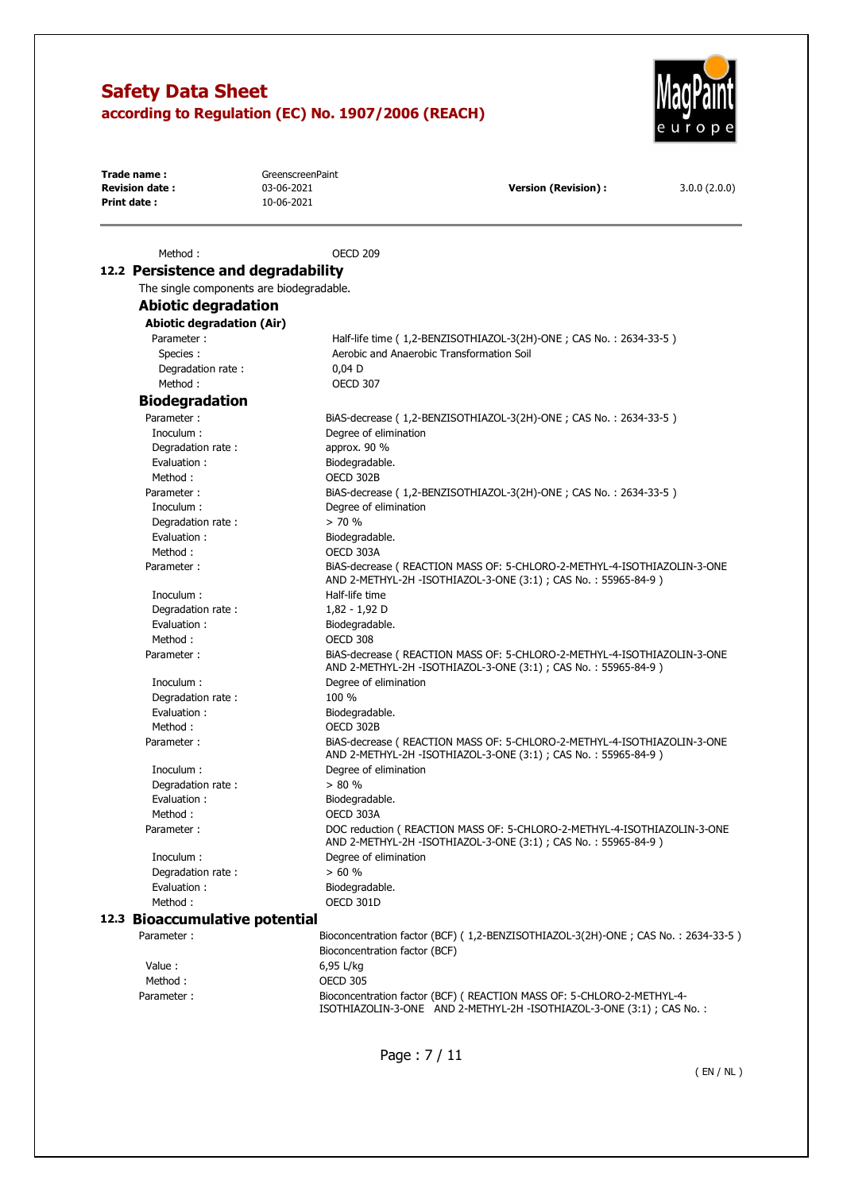

**Trade name :** GreenscreenPaint<br> **Revision date :** 03-06-2021 **Revision (Revision) : 2.0.0** (2.0.0) **Version (Revision) :** 3.0.0 (2.0.0) **Print date :** 10-06-2021 Method : OECD 209 **12.2 Persistence and degradability** 

| The single components are biodegradable. |                                                                                                                                            |
|------------------------------------------|--------------------------------------------------------------------------------------------------------------------------------------------|
| <b>Abiotic degradation</b>               |                                                                                                                                            |
| <b>Abiotic degradation (Air)</b>         |                                                                                                                                            |
| Parameter:                               | Half-life time (1,2-BENZISOTHIAZOL-3(2H)-ONE; CAS No.: 2634-33-5)                                                                          |
| Species:                                 | Aerobic and Anaerobic Transformation Soil                                                                                                  |
| Degradation rate:                        | $0,04$ D                                                                                                                                   |
| Method:                                  | <b>OECD 307</b>                                                                                                                            |
| <b>Biodegradation</b>                    |                                                                                                                                            |
| Parameter:                               | BiAS-decrease (1,2-BENZISOTHIAZOL-3(2H)-ONE; CAS No.: 2634-33-5)                                                                           |
| Inoculum :                               | Degree of elimination                                                                                                                      |
| Degradation rate:                        | approx. 90 %                                                                                                                               |
| Evaluation:                              | Biodegradable.                                                                                                                             |
| Method:                                  | OECD 302B                                                                                                                                  |
| Parameter:                               | BiAS-decrease (1,2-BENZISOTHIAZOL-3(2H)-ONE; CAS No.: 2634-33-5)                                                                           |
| Inoculum :                               | Degree of elimination                                                                                                                      |
| Degradation rate:                        | > 70%                                                                                                                                      |
| Evaluation:                              | Biodegradable.                                                                                                                             |
| Method:                                  | OECD 303A                                                                                                                                  |
| Parameter:                               | BIAS-decrease ( REACTION MASS OF: 5-CHLORO-2-METHYL-4-ISOTHIAZOLIN-3-ONE<br>AND 2-METHYL-2H -ISOTHIAZOL-3-ONE (3:1) ; CAS No.: 55965-84-9) |
| Inoculum :                               | Half-life time                                                                                                                             |
| Degradation rate:                        | 1,82 - 1,92 D                                                                                                                              |
| Evaluation:                              | Biodegradable.                                                                                                                             |
| Method:                                  | OECD 308                                                                                                                                   |
| Parameter:                               | BIAS-decrease ( REACTION MASS OF: 5-CHLORO-2-METHYL-4-ISOTHIAZOLIN-3-ONE<br>AND 2-METHYL-2H -ISOTHIAZOL-3-ONE (3:1) ; CAS No.: 55965-84-9) |
| Inoculum :                               | Degree of elimination                                                                                                                      |
| Degradation rate:                        | 100 %                                                                                                                                      |
| Evaluation:                              | Biodegradable.                                                                                                                             |
| Method:                                  | OECD 302B                                                                                                                                  |
| Parameter:                               | BIAS-decrease ( REACTION MASS OF: 5-CHLORO-2-METHYL-4-ISOTHIAZOLIN-3-ONE<br>AND 2-METHYL-2H -ISOTHIAZOL-3-ONE (3:1) ; CAS No.: 55965-84-9) |
| Inoculum :                               | Degree of elimination                                                                                                                      |
| Degradation rate:                        | > 80%                                                                                                                                      |
| Evaluation:                              | Biodegradable.                                                                                                                             |
| Method:                                  | OECD 303A                                                                                                                                  |
| Parameter:                               | DOC reduction ( REACTION MASS OF: 5-CHLORO-2-METHYL-4-ISOTHIAZOLIN-3-ONE<br>AND 2-METHYL-2H -ISOTHIAZOL-3-ONE (3:1) ; CAS No.: 55965-84-9) |
| Inoculum :                               | Degree of elimination                                                                                                                      |
| Degradation rate:                        | > 60 %                                                                                                                                     |
| Evaluation:                              | Biodegradable.                                                                                                                             |
| Method:                                  | OECD 301D                                                                                                                                  |
| 12.3 Bioaccumulative potential           |                                                                                                                                            |
| Parameter:                               | Bioconcentration factor (BCF) (1,2-BENZISOTHIAZOL-3(2H)-ONE; CAS No.: 2634-33-5)<br>Bioconcentration factor (BCF)                          |
| Value:                                   | 6,95 L/kg                                                                                                                                  |
| Method:                                  | <b>OECD 305</b>                                                                                                                            |
| Parameter:                               | Bioconcentration factor (BCF) ( REACTION MASS OF: 5-CHLORO-2-METHYL-4-                                                                     |
|                                          | ISOTHIAZOLIN-3-ONE AND 2-METHYL-2H -ISOTHIAZOL-3-ONE (3:1) ; CAS No. :                                                                     |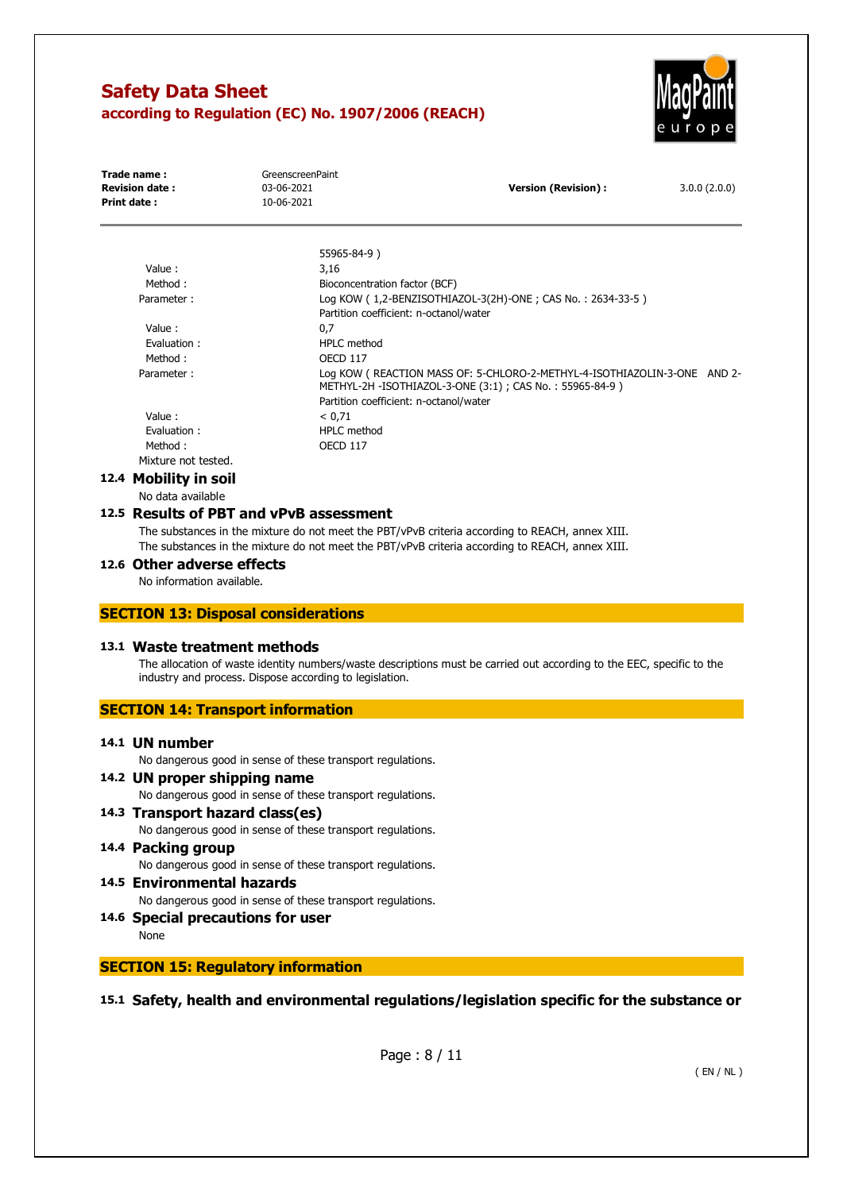

| Trade name:<br><b>Revision date:</b><br>Print date:     | GreenscreenPaint<br>03-06-2021<br>10-06-2021 | <b>Version (Revision):</b>                                                                                                           | 3.0.0(2.0.0) |
|---------------------------------------------------------|----------------------------------------------|--------------------------------------------------------------------------------------------------------------------------------------|--------------|
|                                                         |                                              |                                                                                                                                      |              |
|                                                         |                                              | 55965-84-9)                                                                                                                          |              |
| Value:                                                  |                                              | 3,16                                                                                                                                 |              |
| Method:<br>Parameter:                                   |                                              | Bioconcentration factor (BCF)<br>Log KOW (1,2-BENZISOTHIAZOL-3(2H)-ONE; CAS No.: 2634-33-5)                                          |              |
|                                                         |                                              | Partition coefficient: n-octanol/water                                                                                               |              |
| Value:                                                  |                                              | 0,7                                                                                                                                  |              |
| Evaluation:                                             |                                              | <b>HPLC</b> method                                                                                                                   |              |
| Method:                                                 |                                              | <b>OECD 117</b>                                                                                                                      |              |
| Parameter:                                              |                                              | Log KOW (REACTION MASS OF: 5-CHLORO-2-METHYL-4-ISOTHIAZOLIN-3-ONE AND 2-<br>METHYL-2H -ISOTHIAZOL-3-ONE (3:1) ; CAS No.: 55965-84-9) |              |
|                                                         |                                              | Partition coefficient: n-octanol/water                                                                                               |              |
| Value:                                                  |                                              | < 0.71                                                                                                                               |              |
| Evaluation:                                             |                                              | <b>HPLC</b> method                                                                                                                   |              |
| Method:                                                 |                                              | <b>OECD 117</b>                                                                                                                      |              |
| Mixture not tested.                                     |                                              |                                                                                                                                      |              |
| 12.4 Mobility in soil                                   |                                              |                                                                                                                                      |              |
| No data available                                       |                                              |                                                                                                                                      |              |
| 12.5 Results of PBT and vPvB assessment                 |                                              |                                                                                                                                      |              |
|                                                         |                                              | The substances in the mixture do not meet the PBT/vPvB criteria according to REACH, annex XIII.                                      |              |
|                                                         |                                              | The substances in the mixture do not meet the PBT/vPvB criteria according to REACH, annex XIII.                                      |              |
| 12.6 Other adverse effects<br>No information available. |                                              |                                                                                                                                      |              |
| <b>SECTION 13: Disposal considerations</b>              |                                              |                                                                                                                                      |              |
| 13.1 Waste treatment methods                            |                                              |                                                                                                                                      |              |
|                                                         |                                              | The allocation of waste identity numbers/waste descriptions must be carried out according to the EEC, specific to the                |              |
| industry and process. Dispose according to legislation. |                                              |                                                                                                                                      |              |
| <b>SECTION 14: Transport information</b>                |                                              |                                                                                                                                      |              |
|                                                         |                                              |                                                                                                                                      |              |
| 14.1 UN number                                          |                                              |                                                                                                                                      |              |
|                                                         |                                              | No dangerous good in sense of these transport regulations.                                                                           |              |
|                                                         |                                              |                                                                                                                                      |              |
| 14.2 UN proper shipping name                            |                                              |                                                                                                                                      |              |
|                                                         |                                              | No dangerous good in sense of these transport regulations.                                                                           |              |
| 14.3 Transport hazard class(es)                         |                                              |                                                                                                                                      |              |
|                                                         |                                              | No dangerous good in sense of these transport regulations.                                                                           |              |
| 14.4 Packing group                                      |                                              |                                                                                                                                      |              |
|                                                         |                                              | No dangerous good in sense of these transport regulations.                                                                           |              |
| 14.5 Environmental hazards                              |                                              |                                                                                                                                      |              |
|                                                         |                                              | No dangerous good in sense of these transport regulations.                                                                           |              |
| 14.6 Special precautions for user<br>None               |                                              |                                                                                                                                      |              |

## **SECTION 15: Regulatory information**

# **15.1 Safety, health and environmental regulations/legislation specific for the substance or**

Page : 8 / 11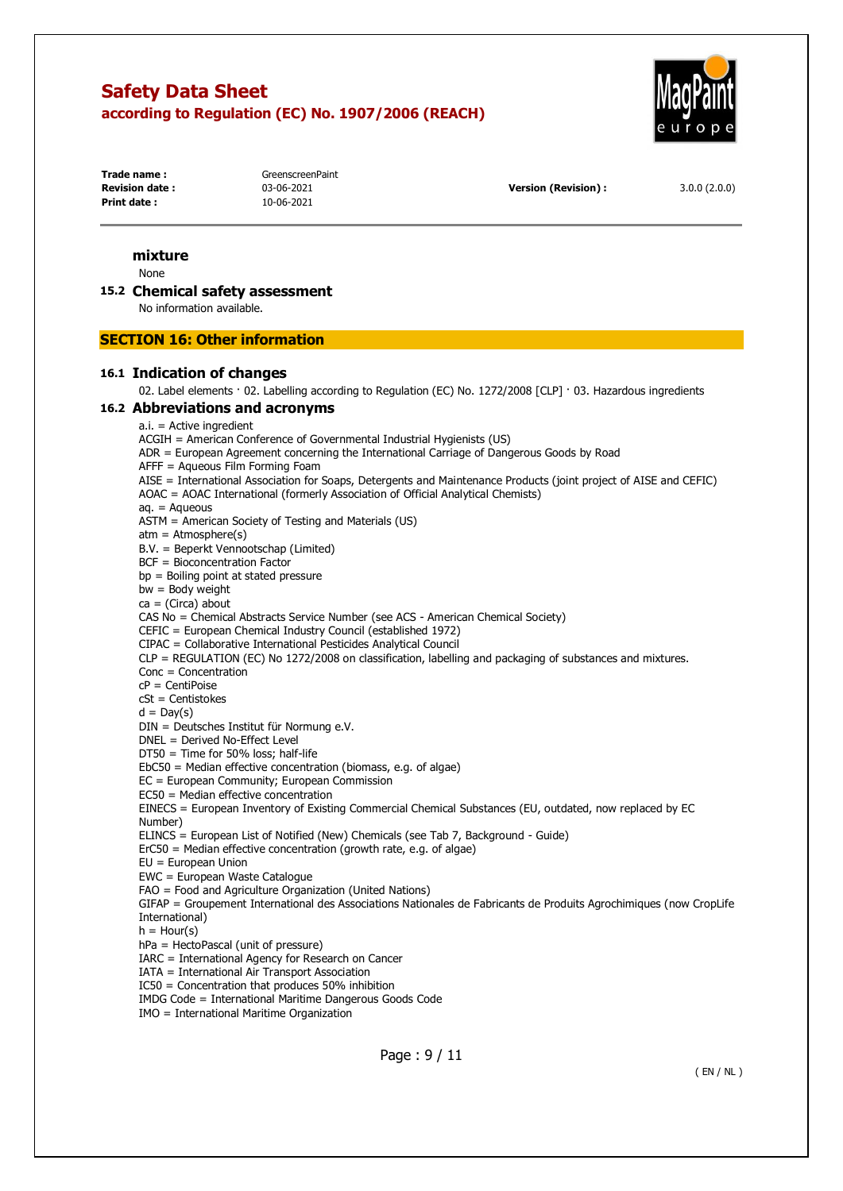

**Trade name:** GreenscreenPaint **Print date :** 10-06-2021

**Revision date :** 03-06-2021 **Version (Revision) :** 3.0.0 (2.0.0)

## **mixture**

None

#### **15.2 Chemical safety assessment**

No information available.

#### **SECTION 16: Other information**

#### **16.1 Indication of changes**

02. Label elements · 02. Labelling according to Regulation (EC) No. 1272/2008 [CLP] · 03. Hazardous ingredients

#### **16.2 Abbreviations and acronyms**

a.i. = Active ingredient

ACGIH = American Conference of Governmental Industrial Hygienists (US)

ADR = European Agreement concerning the International Carriage of Dangerous Goods by Road

AFFF = Aqueous Film Forming Foam

AISE = International Association for Soaps, Detergents and Maintenance Products (joint project of AISE and CEFIC) AOAC = AOAC International (formerly Association of Official Analytical Chemists) aq. = Aqueous ASTM = American Society of Testing and Materials (US) atm = Atmosphere(s) B.V. = Beperkt Vennootschap (Limited) BCF = Bioconcentration Factor bp = Boiling point at stated pressure  $bw = Body weight$  $ca = (Circa)$  about CAS No = Chemical Abstracts Service Number (see ACS - American Chemical Society) CEFIC = European Chemical Industry Council (established 1972) CIPAC = Collaborative International Pesticides Analytical Council CLP = REGULATION (EC) No 1272/2008 on classification, labelling and packaging of substances and mixtures. Conc = Concentration cP = CentiPoise cSt = Centistokes  $d = Day(s)$ DIN = Deutsches Institut für Normung e.V. DNEL = Derived No-Effect Level DT50 = Time for 50% loss; half-life EbC50 = Median effective concentration (biomass, e.g. of algae) EC = European Community; European Commission EC50 = Median effective concentration EINECS = European Inventory of Existing Commercial Chemical Substances (EU, outdated, now replaced by EC Number) ELINCS = European List of Notified (New) Chemicals (see Tab 7, Background - Guide) ErC50 = Median effective concentration (growth rate, e.g. of algae) EU = European Union EWC = European Waste Catalogue FAO = Food and Agriculture Organization (United Nations) GIFAP = Groupement International des Associations Nationales de Fabricants de Produits Agrochimiques (now CropLife International)  $h =$  Hour(s) hPa = HectoPascal (unit of pressure) IARC = International Agency for Research on Cancer IATA = International Air Transport Association IC50 = Concentration that produces 50% inhibition IMDG Code = International Maritime Dangerous Goods Code IMO = International Maritime Organization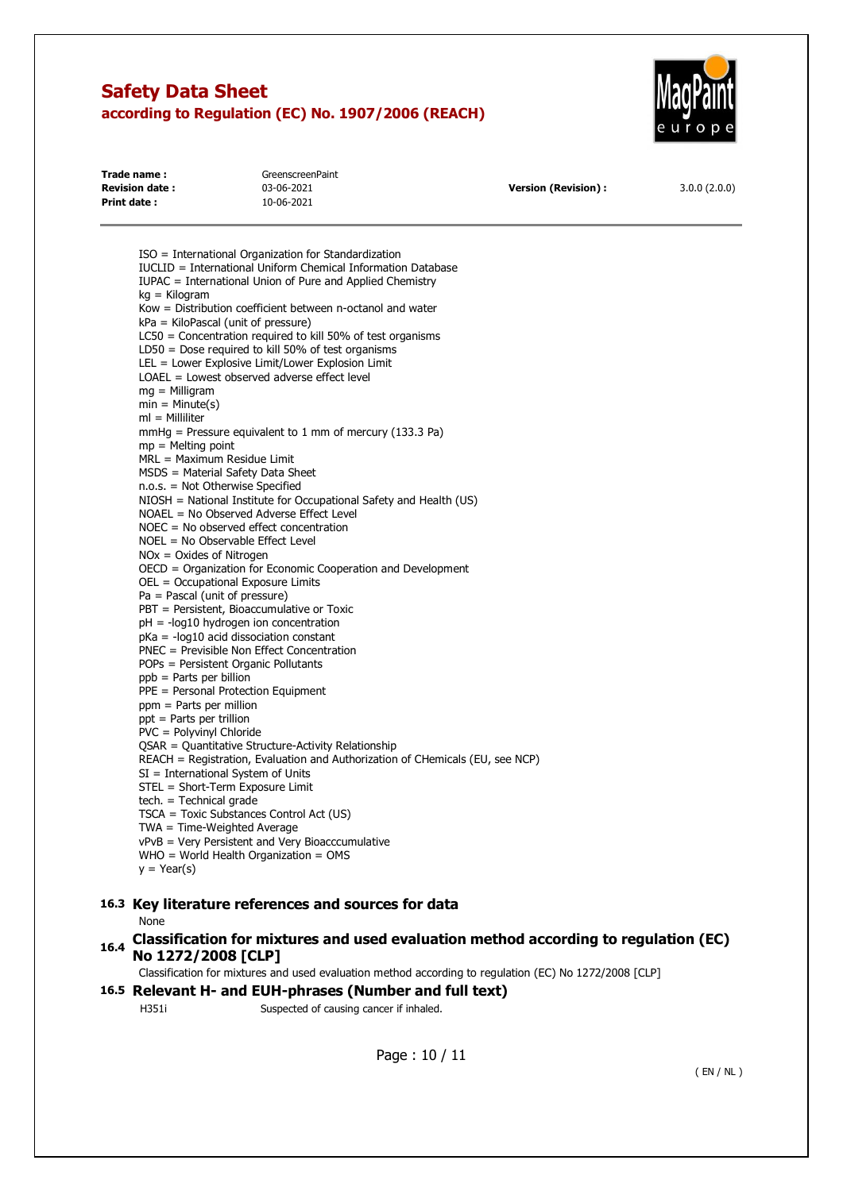

| Trade name:            | GreenscreenPaint |                            |              |
|------------------------|------------------|----------------------------|--------------|
| <b>Revision date :</b> | 03-06-2021       | <b>Version (Revision):</b> | 3.0.0(2.0.0) |
| Print date:            | 10-06-2021       |                            |              |

ISO = International Organization for Standardization IUCLID = International Uniform Chemical Information Database IUPAC = International Union of Pure and Applied Chemistry kg = Kilogram Kow = Distribution coefficient between n-octanol and water kPa = KiloPascal (unit of pressure) LC50 = Concentration required to kill 50% of test organisms LD50 = Dose required to kill 50% of test organisms LEL = Lower Explosive Limit/Lower Explosion Limit LOAEL = Lowest observed adverse effect level mg = Milligram  $min = Minute(s)$ ml = Milliliter mmHg = Pressure equivalent to 1 mm of mercury (133.3 Pa)  $mp =$ Melting point MRL = Maximum Residue Limit MSDS = Material Safety Data Sheet n.o.s. = Not Otherwise Specified NIOSH = National Institute for Occupational Safety and Health (US) NOAEL = No Observed Adverse Effect Level NOEC = No observed effect concentration NOEL = No Observable Effect Level NOx = Oxides of Nitrogen OECD = Organization for Economic Cooperation and Development OEL = Occupational Exposure Limits Pa = Pascal (unit of pressure) PBT = Persistent, Bioaccumulative or Toxic pH = -log10 hydrogen ion concentration pKa = -log10 acid dissociation constant PNEC = Previsible Non Effect Concentration POPs = Persistent Organic Pollutants ppb = Parts per billion PPE = Personal Protection Equipment ppm = Parts per million ppt = Parts per trillion PVC = Polyvinyl Chloride QSAR = Quantitative Structure-Activity Relationship REACH = Registration, Evaluation and Authorization of CHemicals (EU, see NCP) SI = International System of Units STEL = Short-Term Exposure Limit tech. = Technical grade TSCA = Toxic Substances Control Act (US) TWA = Time-Weighted Average vPvB = Very Persistent and Very Bioacccumulative WHO = World Health Organization = OMS  $y = \text{Year}(s)$ **16.3 Key literature references and sources for data**  None

# **16.4 Classification for mixtures and used evaluation method according to regulation (EC) No 1272/2008 [CLP]**

Classification for mixtures and used evaluation method according to regulation (EC) No 1272/2008 [CLP]

#### **16.5 Relevant H- and EUH-phrases (Number and full text)**

H351i Suspected of causing cancer if inhaled.

Page : 10 / 11